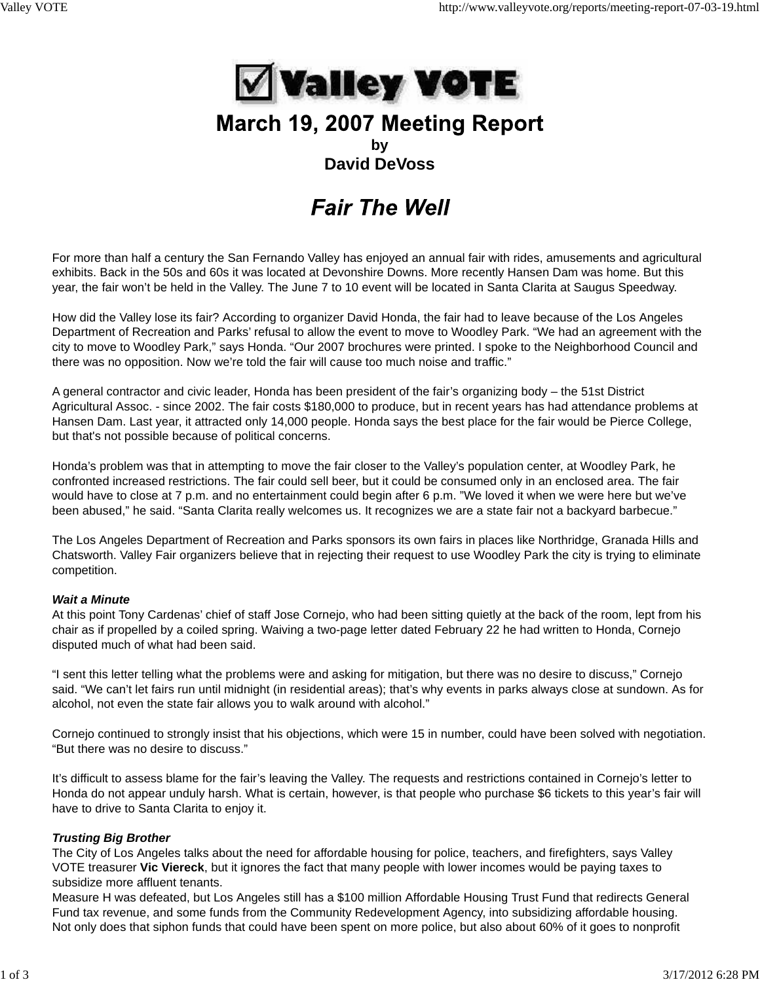

## March 19, 2007 Meeting Report **by David DeVoss**

# **Fair The Well**

For more than half a century the San Fernando Valley has enjoyed an annual fair with rides, amusements and agricultural exhibits. Back in the 50s and 60s it was located at Devonshire Downs. More recently Hansen Dam was home. But this year, the fair won't be held in the Valley. The June 7 to 10 event will be located in Santa Clarita at Saugus Speedway.

How did the Valley lose its fair? According to organizer David Honda, the fair had to leave because of the Los Angeles Department of Recreation and Parks' refusal to allow the event to move to Woodley Park. "We had an agreement with the city to move to Woodley Park," says Honda. "Our 2007 brochures were printed. I spoke to the Neighborhood Council and there was no opposition. Now we're told the fair will cause too much noise and traffic."

A general contractor and civic leader, Honda has been president of the fair's organizing body – the 51st District Agricultural Assoc. - since 2002. The fair costs \$180,000 to produce, but in recent years has had attendance problems at Hansen Dam. Last year, it attracted only 14,000 people. Honda says the best place for the fair would be Pierce College, but that's not possible because of political concerns.

Honda's problem was that in attempting to move the fair closer to the Valley's population center, at Woodley Park, he confronted increased restrictions. The fair could sell beer, but it could be consumed only in an enclosed area. The fair would have to close at 7 p.m. and no entertainment could begin after 6 p.m. "We loved it when we were here but we've been abused," he said. "Santa Clarita really welcomes us. It recognizes we are a state fair not a backyard barbecue."

The Los Angeles Department of Recreation and Parks sponsors its own fairs in places like Northridge, Granada Hills and Chatsworth. Valley Fair organizers believe that in rejecting their request to use Woodley Park the city is trying to eliminate competition.

#### *Wait a Minute*

At this point Tony Cardenas' chief of staff Jose Cornejo, who had been sitting quietly at the back of the room, lept from his chair as if propelled by a coiled spring. Waiving a two-page letter dated February 22 he had written to Honda, Cornejo disputed much of what had been said.

"I sent this letter telling what the problems were and asking for mitigation, but there was no desire to discuss," Cornejo said. "We can't let fairs run until midnight (in residential areas); that's why events in parks always close at sundown. As for alcohol, not even the state fair allows you to walk around with alcohol."

Cornejo continued to strongly insist that his objections, which were 15 in number, could have been solved with negotiation. "But there was no desire to discuss."

It's difficult to assess blame for the fair's leaving the Valley. The requests and restrictions contained in Cornejo's letter to Honda do not appear unduly harsh. What is certain, however, is that people who purchase \$6 tickets to this year's fair will have to drive to Santa Clarita to enjoy it.

### *Trusting Big Brother*

The City of Los Angeles talks about the need for affordable housing for police, teachers, and firefighters, says Valley VOTE treasurer **Vic Viereck**, but it ignores the fact that many people with lower incomes would be paying taxes to subsidize more affluent tenants.

Measure H was defeated, but Los Angeles still has a \$100 million Affordable Housing Trust Fund that redirects General Fund tax revenue, and some funds from the Community Redevelopment Agency, into subsidizing affordable housing. Not only does that siphon funds that could have been spent on more police, but also about 60% of it goes to nonprofit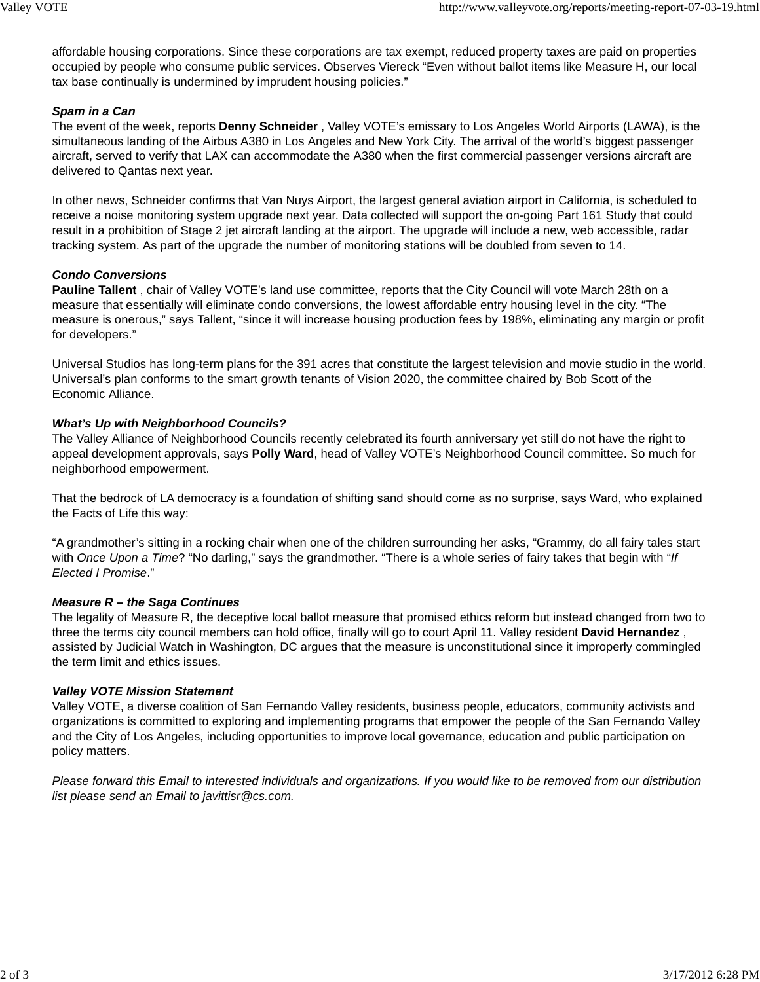affordable housing corporations. Since these corporations are tax exempt, reduced property taxes are paid on properties occupied by people who consume public services. Observes Viereck "Even without ballot items like Measure H, our local tax base continually is undermined by imprudent housing policies."

#### *Spam in a Can*

The event of the week, reports **Denny Schneider** , Valley VOTE's emissary to Los Angeles World Airports (LAWA), is the simultaneous landing of the Airbus A380 in Los Angeles and New York City. The arrival of the world's biggest passenger aircraft, served to verify that LAX can accommodate the A380 when the first commercial passenger versions aircraft are delivered to Qantas next year.

In other news, Schneider confirms that Van Nuys Airport, the largest general aviation airport in California, is scheduled to receive a noise monitoring system upgrade next year. Data collected will support the on-going Part 161 Study that could result in a prohibition of Stage 2 jet aircraft landing at the airport. The upgrade will include a new, web accessible, radar tracking system. As part of the upgrade the number of monitoring stations will be doubled from seven to 14.

#### *Condo Conversions*

**Pauline Tallent** , chair of Valley VOTE's land use committee, reports that the City Council will vote March 28th on a measure that essentially will eliminate condo conversions, the lowest affordable entry housing level in the city. "The measure is onerous," says Tallent, "since it will increase housing production fees by 198%, eliminating any margin or profit for developers."

Universal Studios has long-term plans for the 391 acres that constitute the largest television and movie studio in the world. Universal's plan conforms to the smart growth tenants of Vision 2020, the committee chaired by Bob Scott of the Economic Alliance.

#### *What's Up with Neighborhood Councils?*

The Valley Alliance of Neighborhood Councils recently celebrated its fourth anniversary yet still do not have the right to appeal development approvals, says **Polly Ward**, head of Valley VOTE's Neighborhood Council committee. So much for neighborhood empowerment.

That the bedrock of LA democracy is a foundation of shifting sand should come as no surprise, says Ward, who explained the Facts of Life this way:

"A grandmother's sitting in a rocking chair when one of the children surrounding her asks, "Grammy, do all fairy tales start with *Once Upon a Time*? "No darling," says the grandmother. "There is a whole series of fairy takes that begin with "*If Elected I Promise*."

#### *Measure R – the Saga Continues*

The legality of Measure R, the deceptive local ballot measure that promised ethics reform but instead changed from two to three the terms city council members can hold office, finally will go to court April 11. Valley resident **David Hernandez** , assisted by Judicial Watch in Washington, DC argues that the measure is unconstitutional since it improperly commingled the term limit and ethics issues.

#### *Valley VOTE Mission Statement*

Valley VOTE, a diverse coalition of San Fernando Valley residents, business people, educators, community activists and organizations is committed to exploring and implementing programs that empower the people of the San Fernando Valley and the City of Los Angeles, including opportunities to improve local governance, education and public participation on policy matters.

*Please forward this Email to interested individuals and organizations. If you would like to be removed from our distribution list please send an Email to javittisr@cs.com.*